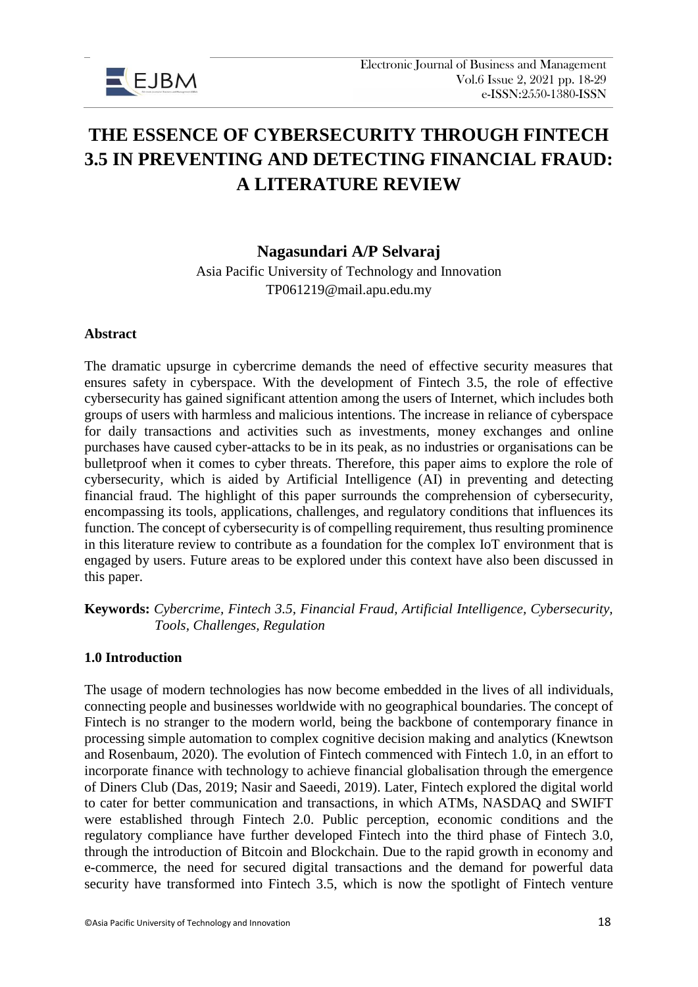

# **THE ESSENCE OF CYBERSECURITY THROUGH FINTECH 3.5 IN PREVENTING AND DETECTING FINANCIAL FRAUD: A LITERATURE REVIEW**

# **Nagasundari A/P Selvaraj**

Asia Pacific University of Technology and Innovation TP061219@mail.apu.edu.my

#### **Abstract**

The dramatic upsurge in cybercrime demands the need of effective security measures that ensures safety in cyberspace. With the development of Fintech 3.5, the role of effective cybersecurity has gained significant attention among the users of Internet, which includes both groups of users with harmless and malicious intentions. The increase in reliance of cyberspace for daily transactions and activities such as investments, money exchanges and online purchases have caused cyber-attacks to be in its peak, as no industries or organisations can be bulletproof when it comes to cyber threats. Therefore, this paper aims to explore the role of cybersecurity, which is aided by Artificial Intelligence (AI) in preventing and detecting financial fraud. The highlight of this paper surrounds the comprehension of cybersecurity, encompassing its tools, applications, challenges, and regulatory conditions that influences its function. The concept of cybersecurity is of compelling requirement, thus resulting prominence in this literature review to contribute as a foundation for the complex IoT environment that is engaged by users. Future areas to be explored under this context have also been discussed in this paper.

**Keywords:** *Cybercrime, Fintech 3.5, Financial Fraud, Artificial Intelligence, Cybersecurity, Tools, Challenges, Regulation*

#### **1.0 Introduction**

The usage of modern technologies has now become embedded in the lives of all individuals, connecting people and businesses worldwide with no geographical boundaries. The concept of Fintech is no stranger to the modern world, being the backbone of contemporary finance in processing simple automation to complex cognitive decision making and analytics (Knewtson and Rosenbaum, 2020). The evolution of Fintech commenced with Fintech 1.0, in an effort to incorporate finance with technology to achieve financial globalisation through the emergence of Diners Club (Das, 2019; Nasir and Saeedi, 2019). Later, Fintech explored the digital world to cater for better communication and transactions, in which ATMs, NASDAQ and SWIFT were established through Fintech 2.0. Public perception, economic conditions and the regulatory compliance have further developed Fintech into the third phase of Fintech 3.0, through the introduction of Bitcoin and Blockchain. Due to the rapid growth in economy and e-commerce, the need for secured digital transactions and the demand for powerful data security have transformed into Fintech 3.5, which is now the spotlight of Fintech venture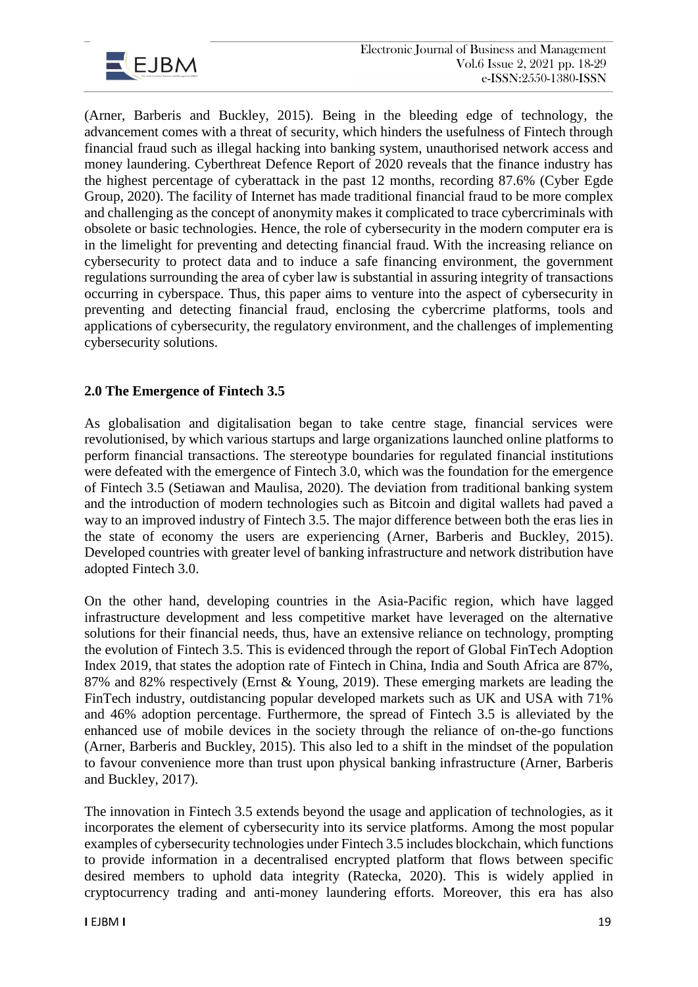

(Arner, Barberis and Buckley, 2015). Being in the bleeding edge of technology, the advancement comes with a threat of security, which hinders the usefulness of Fintech through financial fraud such as illegal hacking into banking system, unauthorised network access and money laundering. Cyberthreat Defence Report of 2020 reveals that the finance industry has the highest percentage of cyberattack in the past 12 months, recording 87.6% (Cyber Egde Group, 2020). The facility of Internet has made traditional financial fraud to be more complex and challenging as the concept of anonymity makes it complicated to trace cybercriminals with obsolete or basic technologies. Hence, the role of cybersecurity in the modern computer era is in the limelight for preventing and detecting financial fraud. With the increasing reliance on cybersecurity to protect data and to induce a safe financing environment, the government regulations surrounding the area of cyber law is substantial in assuring integrity of transactions occurring in cyberspace. Thus, this paper aims to venture into the aspect of cybersecurity in preventing and detecting financial fraud, enclosing the cybercrime platforms, tools and applications of cybersecurity, the regulatory environment, and the challenges of implementing cybersecurity solutions.

## **2.0 The Emergence of Fintech 3.5**

As globalisation and digitalisation began to take centre stage, financial services were revolutionised, by which various startups and large organizations launched online platforms to perform financial transactions. The stereotype boundaries for regulated financial institutions were defeated with the emergence of Fintech 3.0, which was the foundation for the emergence of Fintech 3.5 (Setiawan and Maulisa, 2020). The deviation from traditional banking system and the introduction of modern technologies such as Bitcoin and digital wallets had paved a way to an improved industry of Fintech 3.5. The major difference between both the eras lies in the state of economy the users are experiencing (Arner, Barberis and Buckley, 2015). Developed countries with greater level of banking infrastructure and network distribution have adopted Fintech 3.0.

On the other hand, developing countries in the Asia-Pacific region, which have lagged infrastructure development and less competitive market have leveraged on the alternative solutions for their financial needs, thus, have an extensive reliance on technology, prompting the evolution of Fintech 3.5. This is evidenced through the report of Global FinTech Adoption Index 2019, that states the adoption rate of Fintech in China, India and South Africa are 87%, 87% and 82% respectively (Ernst & Young, 2019). These emerging markets are leading the FinTech industry, outdistancing popular developed markets such as UK and USA with 71% and 46% adoption percentage. Furthermore, the spread of Fintech 3.5 is alleviated by the enhanced use of mobile devices in the society through the reliance of on-the-go functions (Arner, Barberis and Buckley, 2015). This also led to a shift in the mindset of the population to favour convenience more than trust upon physical banking infrastructure (Arner, Barberis and Buckley, 2017).

The innovation in Fintech 3.5 extends beyond the usage and application of technologies, as it incorporates the element of cybersecurity into its service platforms. Among the most popular examples of cybersecurity technologies under Fintech 3.5 includes blockchain, which functions to provide information in a decentralised encrypted platform that flows between specific desired members to uphold data integrity (Ratecka, 2020). This is widely applied in cryptocurrency trading and anti-money laundering efforts. Moreover, this era has also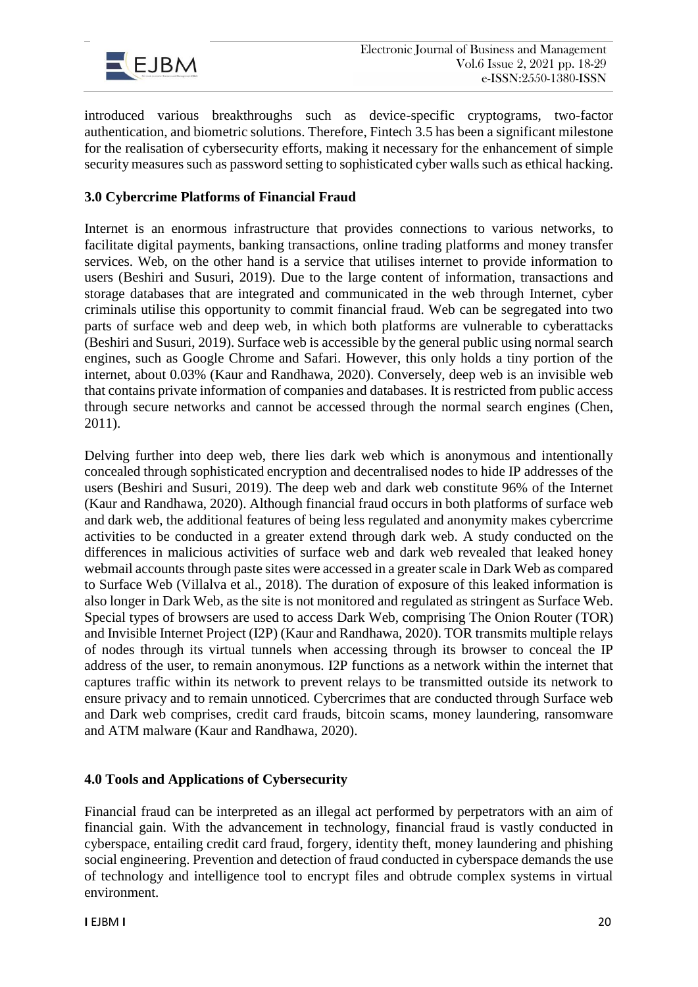

introduced various breakthroughs such as device-specific cryptograms, two-factor authentication, and biometric solutions. Therefore, Fintech 3.5 has been a significant milestone for the realisation of cybersecurity efforts, making it necessary for the enhancement of simple security measures such as password setting to sophisticated cyber walls such as ethical hacking.

## **3.0 Cybercrime Platforms of Financial Fraud**

Internet is an enormous infrastructure that provides connections to various networks, to facilitate digital payments, banking transactions, online trading platforms and money transfer services. Web, on the other hand is a service that utilises internet to provide information to users (Beshiri and Susuri, 2019). Due to the large content of information, transactions and storage databases that are integrated and communicated in the web through Internet, cyber criminals utilise this opportunity to commit financial fraud. Web can be segregated into two parts of surface web and deep web, in which both platforms are vulnerable to cyberattacks (Beshiri and Susuri, 2019). Surface web is accessible by the general public using normal search engines, such as Google Chrome and Safari. However, this only holds a tiny portion of the internet, about 0.03% (Kaur and Randhawa, 2020). Conversely, deep web is an invisible web that contains private information of companies and databases. It is restricted from public access through secure networks and cannot be accessed through the normal search engines (Chen, 2011).

Delving further into deep web, there lies dark web which is anonymous and intentionally concealed through sophisticated encryption and decentralised nodes to hide IP addresses of the users (Beshiri and Susuri, 2019). The deep web and dark web constitute 96% of the Internet (Kaur and Randhawa, 2020). Although financial fraud occurs in both platforms of surface web and dark web, the additional features of being less regulated and anonymity makes cybercrime activities to be conducted in a greater extend through dark web. A study conducted on the differences in malicious activities of surface web and dark web revealed that leaked honey webmail accounts through paste sites were accessed in a greater scale in Dark Web as compared to Surface Web (Villalva et al., 2018). The duration of exposure of this leaked information is also longer in Dark Web, as the site is not monitored and regulated as stringent as Surface Web. Special types of browsers are used to access Dark Web, comprising The Onion Router (TOR) and Invisible Internet Project (I2P) (Kaur and Randhawa, 2020). TOR transmits multiple relays of nodes through its virtual tunnels when accessing through its browser to conceal the IP address of the user, to remain anonymous. I2P functions as a network within the internet that captures traffic within its network to prevent relays to be transmitted outside its network to ensure privacy and to remain unnoticed. Cybercrimes that are conducted through Surface web and Dark web comprises, credit card frauds, bitcoin scams, money laundering, ransomware and ATM malware (Kaur and Randhawa, 2020).

## **4.0 Tools and Applications of Cybersecurity**

Financial fraud can be interpreted as an illegal act performed by perpetrators with an aim of financial gain. With the advancement in technology, financial fraud is vastly conducted in cyberspace, entailing credit card fraud, forgery, identity theft, money laundering and phishing social engineering. Prevention and detection of fraud conducted in cyberspace demands the use of technology and intelligence tool to encrypt files and obtrude complex systems in virtual environment.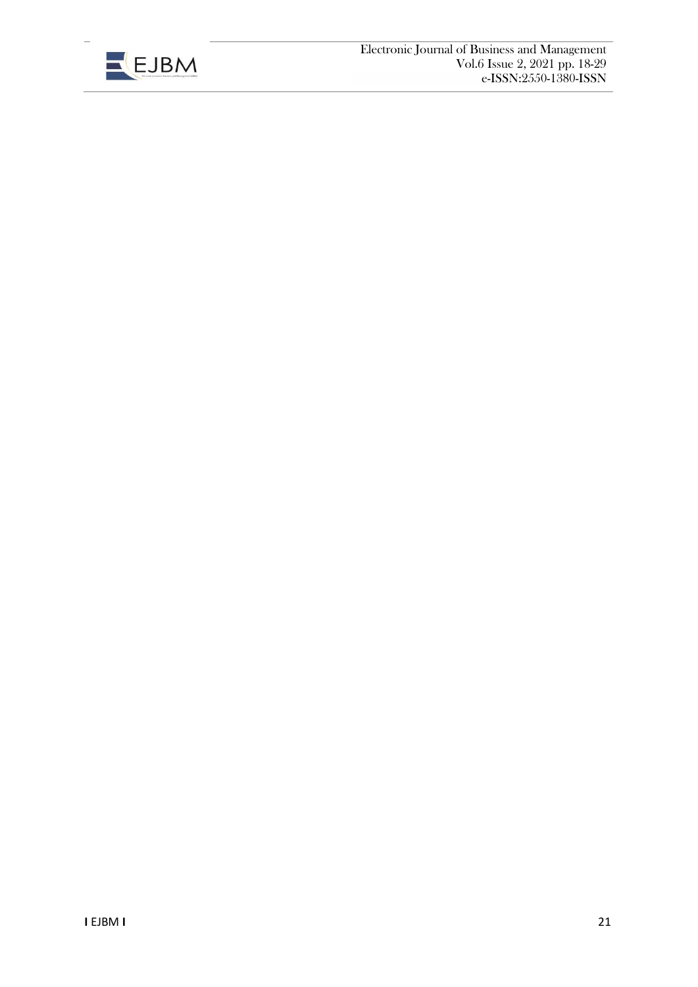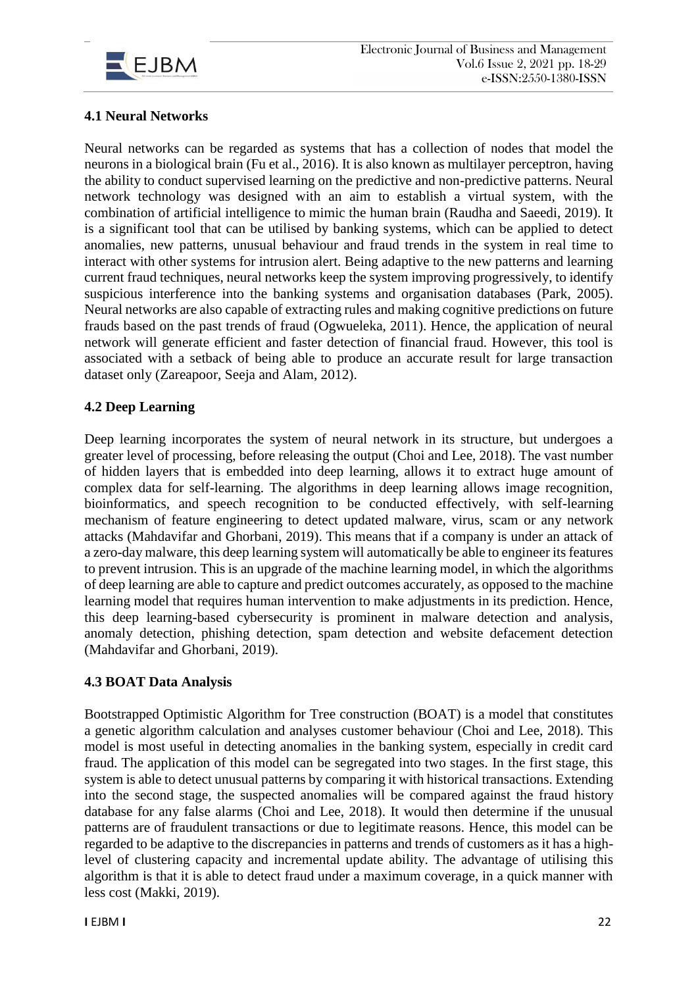

# **4.1 Neural Networks**

Neural networks can be regarded as systems that has a collection of nodes that model the neurons in a biological brain (Fu et al., 2016). It is also known as multilayer perceptron, having the ability to conduct supervised learning on the predictive and non-predictive patterns. Neural network technology was designed with an aim to establish a virtual system, with the combination of artificial intelligence to mimic the human brain (Raudha and Saeedi, 2019). It is a significant tool that can be utilised by banking systems, which can be applied to detect anomalies, new patterns, unusual behaviour and fraud trends in the system in real time to interact with other systems for intrusion alert. Being adaptive to the new patterns and learning current fraud techniques, neural networks keep the system improving progressively, to identify suspicious interference into the banking systems and organisation databases (Park, 2005). Neural networks are also capable of extracting rules and making cognitive predictions on future frauds based on the past trends of fraud (Ogwueleka, 2011). Hence, the application of neural network will generate efficient and faster detection of financial fraud. However, this tool is associated with a setback of being able to produce an accurate result for large transaction dataset only (Zareapoor, Seeja and Alam, 2012).

# **4.2 Deep Learning**

Deep learning incorporates the system of neural network in its structure, but undergoes a greater level of processing, before releasing the output (Choi and Lee, 2018). The vast number of hidden layers that is embedded into deep learning, allows it to extract huge amount of complex data for self-learning. The algorithms in deep learning allows image recognition, bioinformatics, and speech recognition to be conducted effectively, with self-learning mechanism of feature engineering to detect updated malware, virus, scam or any network attacks (Mahdavifar and Ghorbani, 2019). This means that if a company is under an attack of a zero-day malware, this deep learning system will automatically be able to engineer its features to prevent intrusion. This is an upgrade of the machine learning model, in which the algorithms of deep learning are able to capture and predict outcomes accurately, as opposed to the machine learning model that requires human intervention to make adjustments in its prediction. Hence, this deep learning-based cybersecurity is prominent in malware detection and analysis, anomaly detection, phishing detection, spam detection and website defacement detection (Mahdavifar and Ghorbani, 2019).

## **4.3 BOAT Data Analysis**

Bootstrapped Optimistic Algorithm for Tree construction (BOAT) is a model that constitutes a genetic algorithm calculation and analyses customer behaviour (Choi and Lee, 2018). This model is most useful in detecting anomalies in the banking system, especially in credit card fraud. The application of this model can be segregated into two stages. In the first stage, this system is able to detect unusual patterns by comparing it with historical transactions. Extending into the second stage, the suspected anomalies will be compared against the fraud history database for any false alarms (Choi and Lee, 2018). It would then determine if the unusual patterns are of fraudulent transactions or due to legitimate reasons. Hence, this model can be regarded to be adaptive to the discrepancies in patterns and trends of customers as it has a highlevel of clustering capacity and incremental update ability. The advantage of utilising this algorithm is that it is able to detect fraud under a maximum coverage, in a quick manner with less cost (Makki, 2019).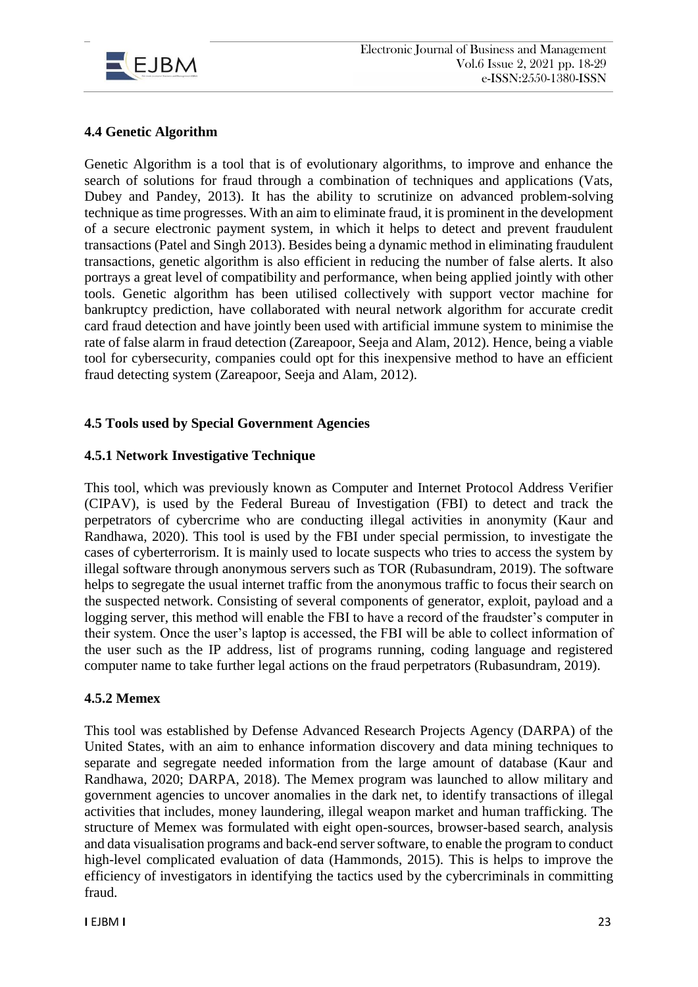

# **4.4 Genetic Algorithm**

Genetic Algorithm is a tool that is of evolutionary algorithms, to improve and enhance the search of solutions for fraud through a combination of techniques and applications (Vats, Dubey and Pandey, 2013). It has the ability to scrutinize on advanced problem-solving technique as time progresses. With an aim to eliminate fraud, it is prominent in the development of a secure electronic payment system, in which it helps to detect and prevent fraudulent transactions (Patel and Singh 2013). Besides being a dynamic method in eliminating fraudulent transactions, genetic algorithm is also efficient in reducing the number of false alerts. It also portrays a great level of compatibility and performance, when being applied jointly with other tools. Genetic algorithm has been utilised collectively with support vector machine for bankruptcy prediction, have collaborated with neural network algorithm for accurate credit card fraud detection and have jointly been used with artificial immune system to minimise the rate of false alarm in fraud detection (Zareapoor, Seeja and Alam, 2012). Hence, being a viable tool for cybersecurity, companies could opt for this inexpensive method to have an efficient fraud detecting system (Zareapoor, Seeja and Alam, 2012).

## **4.5 Tools used by Special Government Agencies**

#### **4.5.1 Network Investigative Technique**

This tool, which was previously known as Computer and Internet Protocol Address Verifier (CIPAV), is used by the Federal Bureau of Investigation (FBI) to detect and track the perpetrators of cybercrime who are conducting illegal activities in anonymity (Kaur and Randhawa, 2020). This tool is used by the FBI under special permission, to investigate the cases of cyberterrorism. It is mainly used to locate suspects who tries to access the system by illegal software through anonymous servers such as TOR (Rubasundram, 2019). The software helps to segregate the usual internet traffic from the anonymous traffic to focus their search on the suspected network. Consisting of several components of generator, exploit, payload and a logging server, this method will enable the FBI to have a record of the fraudster's computer in their system. Once the user's laptop is accessed, the FBI will be able to collect information of the user such as the IP address, list of programs running, coding language and registered computer name to take further legal actions on the fraud perpetrators (Rubasundram, 2019).

#### **4.5.2 Memex**

This tool was established by Defense Advanced Research Projects Agency (DARPA) of the United States, with an aim to enhance information discovery and data mining techniques to separate and segregate needed information from the large amount of database (Kaur and Randhawa, 2020; DARPA, 2018). The Memex program was launched to allow military and government agencies to uncover anomalies in the dark net, to identify transactions of illegal activities that includes, money laundering, illegal weapon market and human trafficking. The structure of Memex was formulated with eight open-sources, browser-based search, analysis and data visualisation programs and back-end server software, to enable the program to conduct high-level complicated evaluation of data (Hammonds, 2015). This is helps to improve the efficiency of investigators in identifying the tactics used by the cybercriminals in committing fraud.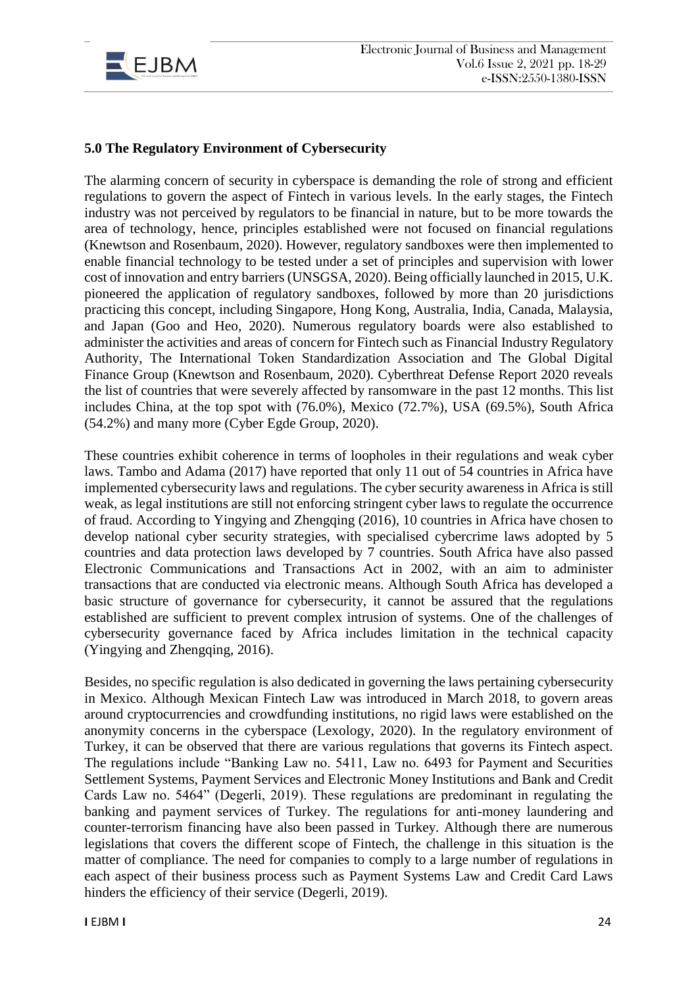

# **5.0 The Regulatory Environment of Cybersecurity**

The alarming concern of security in cyberspace is demanding the role of strong and efficient regulations to govern the aspect of Fintech in various levels. In the early stages, the Fintech industry was not perceived by regulators to be financial in nature, but to be more towards the area of technology, hence, principles established were not focused on financial regulations (Knewtson and Rosenbaum, 2020). However, regulatory sandboxes were then implemented to enable financial technology to be tested under a set of principles and supervision with lower cost of innovation and entry barriers (UNSGSA, 2020). Being officially launched in 2015, U.K. pioneered the application of regulatory sandboxes, followed by more than 20 jurisdictions practicing this concept, including Singapore, Hong Kong, Australia, India, Canada, Malaysia, and Japan (Goo and Heo, 2020). Numerous regulatory boards were also established to administer the activities and areas of concern for Fintech such as Financial Industry Regulatory Authority, The International Token Standardization Association and The Global Digital Finance Group (Knewtson and Rosenbaum, 2020). Cyberthreat Defense Report 2020 reveals the list of countries that were severely affected by ransomware in the past 12 months. This list includes China, at the top spot with (76.0%), Mexico (72.7%), USA (69.5%), South Africa (54.2%) and many more (Cyber Egde Group, 2020).

These countries exhibit coherence in terms of loopholes in their regulations and weak cyber laws. Tambo and Adama (2017) have reported that only 11 out of 54 countries in Africa have implemented cybersecurity laws and regulations. The cyber security awareness in Africa is still weak, as legal institutions are still not enforcing stringent cyber laws to regulate the occurrence of fraud. According to Yingying and Zhengqing (2016), 10 countries in Africa have chosen to develop national cyber security strategies, with specialised cybercrime laws adopted by 5 countries and data protection laws developed by 7 countries. South Africa have also passed Electronic Communications and Transactions Act in 2002, with an aim to administer transactions that are conducted via electronic means. Although South Africa has developed a basic structure of governance for cybersecurity, it cannot be assured that the regulations established are sufficient to prevent complex intrusion of systems. One of the challenges of cybersecurity governance faced by Africa includes limitation in the technical capacity (Yingying and Zhengqing, 2016).

Besides, no specific regulation is also dedicated in governing the laws pertaining cybersecurity in Mexico. Although Mexican Fintech Law was introduced in March 2018, to govern areas around cryptocurrencies and crowdfunding institutions, no rigid laws were established on the anonymity concerns in the cyberspace (Lexology, 2020). In the regulatory environment of Turkey, it can be observed that there are various regulations that governs its Fintech aspect. The regulations include "Banking Law no. 5411, Law no. 6493 for Payment and Securities Settlement Systems, Payment Services and Electronic Money Institutions and Bank and Credit Cards Law no. 5464" (Degerli, 2019). These regulations are predominant in regulating the banking and payment services of Turkey. The regulations for anti-money laundering and counter-terrorism financing have also been passed in Turkey. Although there are numerous legislations that covers the different scope of Fintech, the challenge in this situation is the matter of compliance. The need for companies to comply to a large number of regulations in each aspect of their business process such as Payment Systems Law and Credit Card Laws hinders the efficiency of their service (Degerli, 2019).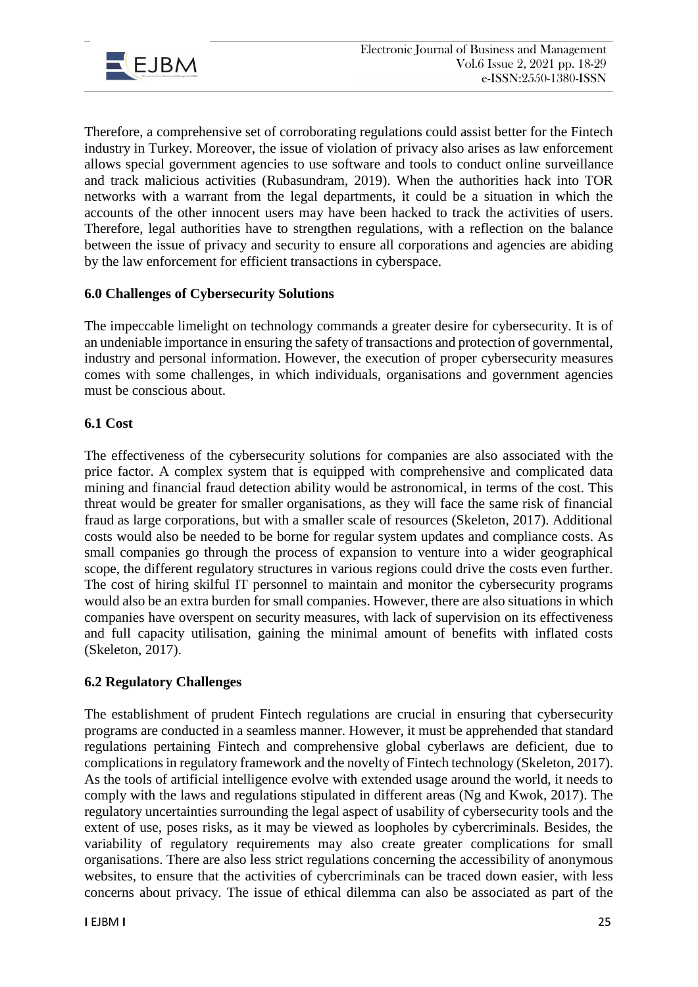

Therefore, a comprehensive set of corroborating regulations could assist better for the Fintech industry in Turkey. Moreover, the issue of violation of privacy also arises as law enforcement allows special government agencies to use software and tools to conduct online surveillance and track malicious activities (Rubasundram, 2019). When the authorities hack into TOR networks with a warrant from the legal departments, it could be a situation in which the accounts of the other innocent users may have been hacked to track the activities of users. Therefore, legal authorities have to strengthen regulations, with a reflection on the balance between the issue of privacy and security to ensure all corporations and agencies are abiding by the law enforcement for efficient transactions in cyberspace.

## **6.0 Challenges of Cybersecurity Solutions**

The impeccable limelight on technology commands a greater desire for cybersecurity. It is of an undeniable importance in ensuring the safety of transactions and protection of governmental, industry and personal information. However, the execution of proper cybersecurity measures comes with some challenges, in which individuals, organisations and government agencies must be conscious about.

## **6.1 Cost**

The effectiveness of the cybersecurity solutions for companies are also associated with the price factor. A complex system that is equipped with comprehensive and complicated data mining and financial fraud detection ability would be astronomical, in terms of the cost. This threat would be greater for smaller organisations, as they will face the same risk of financial fraud as large corporations, but with a smaller scale of resources (Skeleton, 2017). Additional costs would also be needed to be borne for regular system updates and compliance costs. As small companies go through the process of expansion to venture into a wider geographical scope, the different regulatory structures in various regions could drive the costs even further. The cost of hiring skilful IT personnel to maintain and monitor the cybersecurity programs would also be an extra burden for small companies. However, there are also situations in which companies have overspent on security measures, with lack of supervision on its effectiveness and full capacity utilisation, gaining the minimal amount of benefits with inflated costs (Skeleton, 2017).

# **6.2 Regulatory Challenges**

The establishment of prudent Fintech regulations are crucial in ensuring that cybersecurity programs are conducted in a seamless manner. However, it must be apprehended that standard regulations pertaining Fintech and comprehensive global cyberlaws are deficient, due to complications in regulatory framework and the novelty of Fintech technology (Skeleton, 2017). As the tools of artificial intelligence evolve with extended usage around the world, it needs to comply with the laws and regulations stipulated in different areas (Ng and Kwok, 2017). The regulatory uncertainties surrounding the legal aspect of usability of cybersecurity tools and the extent of use, poses risks, as it may be viewed as loopholes by cybercriminals. Besides, the variability of regulatory requirements may also create greater complications for small organisations. There are also less strict regulations concerning the accessibility of anonymous websites, to ensure that the activities of cybercriminals can be traced down easier, with less concerns about privacy. The issue of ethical dilemma can also be associated as part of the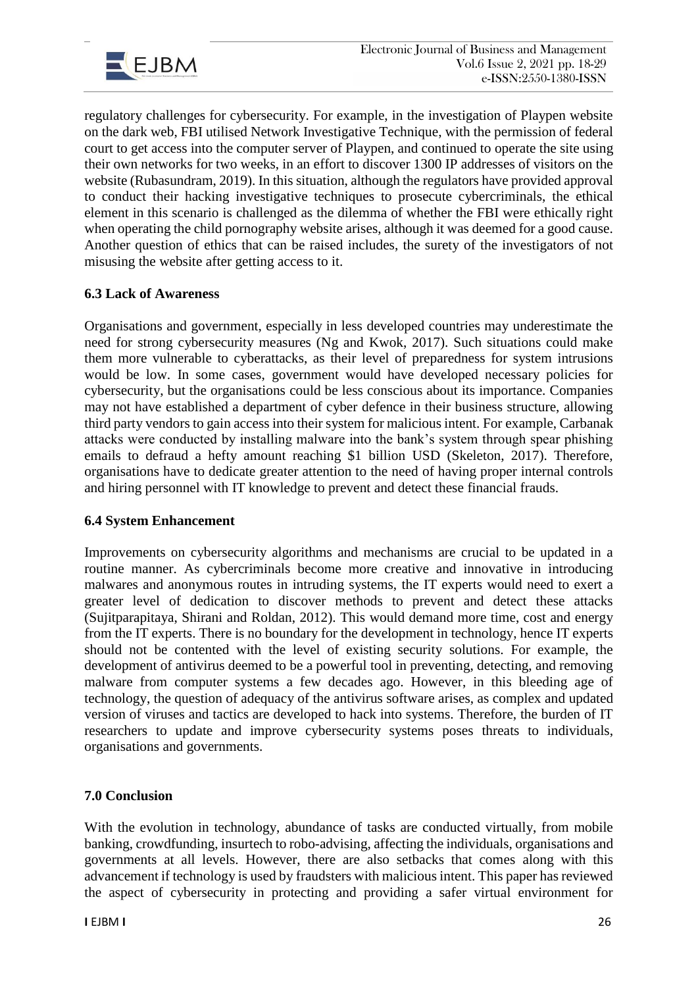

regulatory challenges for cybersecurity. For example, in the investigation of Playpen website on the dark web, FBI utilised Network Investigative Technique, with the permission of federal court to get access into the computer server of Playpen, and continued to operate the site using their own networks for two weeks, in an effort to discover 1300 IP addresses of visitors on the website (Rubasundram, 2019). In this situation, although the regulators have provided approval to conduct their hacking investigative techniques to prosecute cybercriminals, the ethical element in this scenario is challenged as the dilemma of whether the FBI were ethically right when operating the child pornography website arises, although it was deemed for a good cause. Another question of ethics that can be raised includes, the surety of the investigators of not misusing the website after getting access to it.

## **6.3 Lack of Awareness**

Organisations and government, especially in less developed countries may underestimate the need for strong cybersecurity measures (Ng and Kwok, 2017). Such situations could make them more vulnerable to cyberattacks, as their level of preparedness for system intrusions would be low. In some cases, government would have developed necessary policies for cybersecurity, but the organisations could be less conscious about its importance. Companies may not have established a department of cyber defence in their business structure, allowing third party vendors to gain access into their system for malicious intent. For example, Carbanak attacks were conducted by installing malware into the bank's system through spear phishing emails to defraud a hefty amount reaching \$1 billion USD (Skeleton, 2017). Therefore, organisations have to dedicate greater attention to the need of having proper internal controls and hiring personnel with IT knowledge to prevent and detect these financial frauds.

#### **6.4 System Enhancement**

Improvements on cybersecurity algorithms and mechanisms are crucial to be updated in a routine manner. As cybercriminals become more creative and innovative in introducing malwares and anonymous routes in intruding systems, the IT experts would need to exert a greater level of dedication to discover methods to prevent and detect these attacks (Sujitparapitaya, Shirani and Roldan, 2012). This would demand more time, cost and energy from the IT experts. There is no boundary for the development in technology, hence IT experts should not be contented with the level of existing security solutions. For example, the development of antivirus deemed to be a powerful tool in preventing, detecting, and removing malware from computer systems a few decades ago. However, in this bleeding age of technology, the question of adequacy of the antivirus software arises, as complex and updated version of viruses and tactics are developed to hack into systems. Therefore, the burden of IT researchers to update and improve cybersecurity systems poses threats to individuals, organisations and governments.

#### **7.0 Conclusion**

With the evolution in technology, abundance of tasks are conducted virtually, from mobile banking, crowdfunding, insurtech to robo-advising, affecting the individuals, organisations and governments at all levels. However, there are also setbacks that comes along with this advancement if technology is used by fraudsters with malicious intent. This paper has reviewed the aspect of cybersecurity in protecting and providing a safer virtual environment for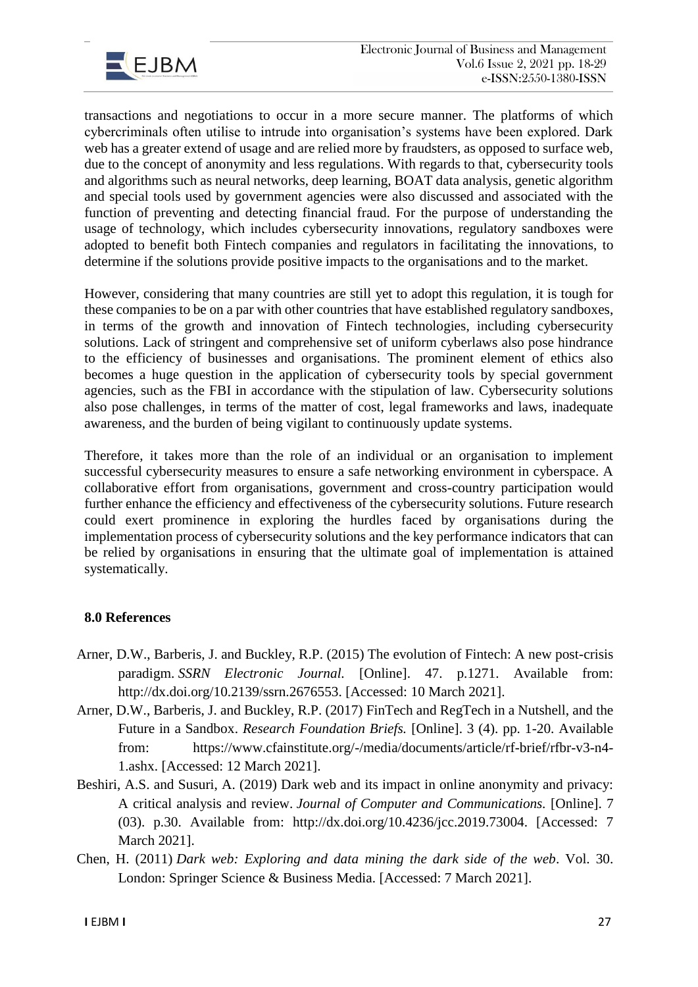

transactions and negotiations to occur in a more secure manner. The platforms of which cybercriminals often utilise to intrude into organisation's systems have been explored. Dark web has a greater extend of usage and are relied more by fraudsters, as opposed to surface web, due to the concept of anonymity and less regulations. With regards to that, cybersecurity tools and algorithms such as neural networks, deep learning, BOAT data analysis, genetic algorithm and special tools used by government agencies were also discussed and associated with the function of preventing and detecting financial fraud. For the purpose of understanding the usage of technology, which includes cybersecurity innovations, regulatory sandboxes were adopted to benefit both Fintech companies and regulators in facilitating the innovations, to determine if the solutions provide positive impacts to the organisations and to the market.

However, considering that many countries are still yet to adopt this regulation, it is tough for these companies to be on a par with other countries that have established regulatory sandboxes, in terms of the growth and innovation of Fintech technologies, including cybersecurity solutions. Lack of stringent and comprehensive set of uniform cyberlaws also pose hindrance to the efficiency of businesses and organisations. The prominent element of ethics also becomes a huge question in the application of cybersecurity tools by special government agencies, such as the FBI in accordance with the stipulation of law. Cybersecurity solutions also pose challenges, in terms of the matter of cost, legal frameworks and laws, inadequate awareness, and the burden of being vigilant to continuously update systems.

Therefore, it takes more than the role of an individual or an organisation to implement successful cybersecurity measures to ensure a safe networking environment in cyberspace. A collaborative effort from organisations, government and cross-country participation would further enhance the efficiency and effectiveness of the cybersecurity solutions. Future research could exert prominence in exploring the hurdles faced by organisations during the implementation process of cybersecurity solutions and the key performance indicators that can be relied by organisations in ensuring that the ultimate goal of implementation is attained systematically.

#### **8.0 References**

- Arner, D.W., Barberis, J. and Buckley, R.P. (2015) The evolution of Fintech: A new post-crisis paradigm. *SSRN Electronic Journal.* [Online]. 47. p.1271. Available from: http://dx.doi.org/10.2139/ssrn.2676553. [Accessed: 10 March 2021].
- Arner, D.W., Barberis, J. and Buckley, R.P. (2017) FinTech and RegTech in a Nutshell, and the Future in a Sandbox. *Research Foundation Briefs.* [Online]. 3 (4). pp. 1-20. Available from: [https://www.cfainstitute.org/-/media/documents/article/rf-brief/rfbr-v3-n4-](https://www.cfainstitute.org/-/media/documents/article/rf-brief/rfbr-v3-n4-1.ashx) [1.ashx.](https://www.cfainstitute.org/-/media/documents/article/rf-brief/rfbr-v3-n4-1.ashx) [Accessed: 12 March 2021].
- Beshiri, A.S. and Susuri, A. (2019) Dark web and its impact in online anonymity and privacy: A critical analysis and review. *Journal of Computer and Communications.* [Online]. 7 (03). p.30. Available from: http://dx.doi.org/10.4236/jcc.2019.73004. [Accessed: 7 March 2021].
- Chen, H. (2011) *Dark web: Exploring and data mining the dark side of the web*. Vol. 30. London: Springer Science & Business Media. [Accessed: 7 March 2021].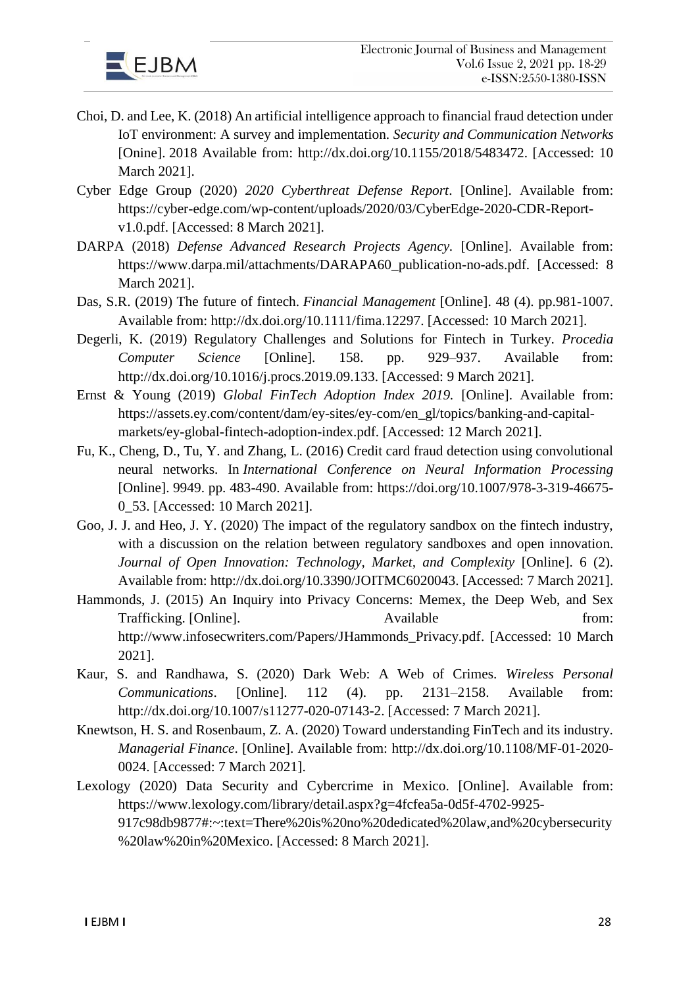

- Choi, D. and Lee, K. (2018) An artificial intelligence approach to financial fraud detection under IoT environment: A survey and implementation. *Security and Communication Networks* [Onine]. 2018 Available from: http://dx.doi.org/10.1155/2018/5483472. [Accessed: 10 March 2021].
- Cyber Edge Group (2020) *2020 Cyberthreat Defense Report*. [Online]. Available from: [https://cyber-edge.com/wp-content/uploads/2020/03/CyberEdge-2020-CDR-Report](https://cyber-edge.com/wp-content/uploads/2020/03/CyberEdge-2020-CDR-Report-v1.0.pdf)[v1.0.pdf.](https://cyber-edge.com/wp-content/uploads/2020/03/CyberEdge-2020-CDR-Report-v1.0.pdf) [Accessed: 8 March 2021].
- DARPA (2018) *Defense Advanced Research Projects Agency.* [Online]. Available from: [https://www.darpa.mil/attachments/DARAPA60\\_publication-no-ads.pdf.](https://www.darpa.mil/attachments/DARAPA60_publication-no-ads.pdf) [Accessed: 8] March 2021].
- Das, S.R. (2019) The future of fintech. *Financial Management* [Online]. 48 (4). pp.981-1007. Available from: http://dx.doi.org/10.1111/fima.12297. [Accessed: 10 March 2021].
- Degerli, K. (2019) Regulatory Challenges and Solutions for Fintech in Turkey. *Procedia Computer Science* [Online]. 158. pp. 929–937. Available from: http://dx.doi.org/10.1016/j.procs.2019.09.133. [Accessed: 9 March 2021].
- Ernst & Young (2019) *Global FinTech Adoption Index 2019.* [Online]. Available from: [https://assets.ey.com/content/dam/ey-sites/ey-com/en\\_gl/topics/banking-and-capital](https://assets.ey.com/content/dam/ey-sites/ey-com/en_gl/topics/banking-and-capital-markets/ey-global-fintech-adoption-index.pdf)[markets/ey-global-fintech-adoption-index.pdf.](https://assets.ey.com/content/dam/ey-sites/ey-com/en_gl/topics/banking-and-capital-markets/ey-global-fintech-adoption-index.pdf) [Accessed: 12 March 2021].
- Fu, K., Cheng, D., Tu, Y. and Zhang, L. (2016) Credit card fraud detection using convolutional neural networks. In *International Conference on Neural Information Processing*  [Online]. 9949. pp. 483-490. Available from: https://doi.org/10.1007/978-3-319-46675- 0\_53. [Accessed: 10 March 2021].
- Goo, J. J. and Heo, J. Y. (2020) The impact of the regulatory sandbox on the fintech industry, with a discussion on the relation between regulatory sandboxes and open innovation. *Journal of Open Innovation: Technology, Market, and Complexity [Online]. 6 (2).* Available from: http://dx.doi.org/10.3390/JOITMC6020043. [Accessed: 7 March 2021].
- Hammonds, J. (2015) An Inquiry into Privacy Concerns: Memex, the Deep Web, and Sex Trafficking. [Online]. Available from: [http://www.infosecwriters.com/Papers/JHammonds\\_Privacy.pdf.](http://www.infosecwriters.com/Papers/JHammonds_Privacy.pdf) [Accessed: 10 March 2021].
- Kaur, S. and Randhawa, S. (2020) Dark Web: A Web of Crimes. *Wireless Personal Communications*. [Online]. 112 (4). pp. 2131–2158. Available from: http://dx.doi.org/10.1007/s11277-020-07143-2. [Accessed: 7 March 2021].
- Knewtson, H. S. and Rosenbaum, Z. A. (2020) Toward understanding FinTech and its industry. *Managerial Finance*. [Online]. Available from: http://dx.doi.org/10.1108/MF-01-2020- 0024. [Accessed: 7 March 2021].
- Lexology (2020) Data Security and Cybercrime in Mexico. [Online]. Available from: [https://www.lexology.com/library/detail.aspx?g=4fcfea5a-0d5f-4702-9925-](https://www.lexology.com/library/detail.aspx?g=4fcfea5a-0d5f-4702-9925-917c98db9877#:~:text=There%20is%20no%20dedicated%20law,and%20cybersecurity%20law%20in%20Mexico.) [917c98db9877#:~:text=There%20is%20no%20dedicated%20law,and%20cybersecurity](https://www.lexology.com/library/detail.aspx?g=4fcfea5a-0d5f-4702-9925-917c98db9877#:~:text=There%20is%20no%20dedicated%20law,and%20cybersecurity%20law%20in%20Mexico.) [%20law%20in%20Mexico.](https://www.lexology.com/library/detail.aspx?g=4fcfea5a-0d5f-4702-9925-917c98db9877#:~:text=There%20is%20no%20dedicated%20law,and%20cybersecurity%20law%20in%20Mexico.) [Accessed: 8 March 2021].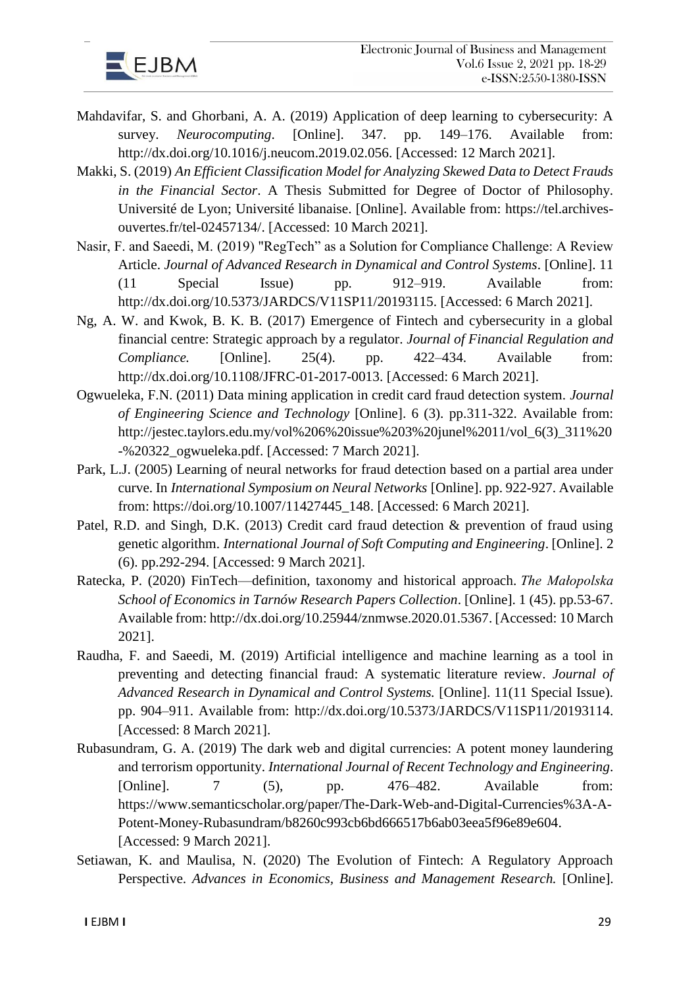

- Mahdavifar, S. and Ghorbani, A. A. (2019) Application of deep learning to cybersecurity: A survey. *Neurocomputing*. [Online]. 347. pp. 149–176. Available from: http://dx.doi.org/10.1016/j.neucom.2019.02.056. [Accessed: 12 March 2021].
- Makki, S. (2019) *An Efficient Classification Model for Analyzing Skewed Data to Detect Frauds in the Financial Sector*. A Thesis Submitted for Degree of Doctor of Philosophy. Université de Lyon; Université libanaise. [Online]. Available from: [https://tel.archives](https://tel.archives-ouvertes.fr/tel-02457134/)[ouvertes.fr/tel-02457134/.](https://tel.archives-ouvertes.fr/tel-02457134/) [Accessed: 10 March 2021].
- Nasir, F. and Saeedi, M. (2019) "RegTech" as a Solution for Compliance Challenge: A Review Article. *Journal of Advanced Research in Dynamical and Control Systems*. [Online]. 11 (11 Special Issue) pp. 912–919. Available from: http://dx.doi.org/10.5373/JARDCS/V11SP11/20193115. [Accessed: 6 March 2021].
- Ng, A. W. and Kwok, B. K. B. (2017) Emergence of Fintech and cybersecurity in a global financial centre: Strategic approach by a regulator. *Journal of Financial Regulation and Compliance.* [Online]. 25(4). pp. 422–434. Available from: http://dx.doi.org/10.1108/JFRC-01-2017-0013. [Accessed: 6 March 2021].
- Ogwueleka, F.N. (2011) Data mining application in credit card fraud detection system. *Journal of Engineering Science and Technology* [Online]. 6 (3). pp.311-322. Available from: [http://jestec.taylors.edu.my/vol%206%20issue%203%20junel%2011/vol\\_6\(3\)\\_311%20](http://jestec.taylors.edu.my/vol%206%20issue%203%20junel%2011/vol_6(3)_311%20-%20322_ogwueleka.pdf) [-%20322\\_ogwueleka.pdf.](http://jestec.taylors.edu.my/vol%206%20issue%203%20junel%2011/vol_6(3)_311%20-%20322_ogwueleka.pdf) [Accessed: 7 March 2021].
- Park, L.J. (2005) Learning of neural networks for fraud detection based on a partial area under curve. In *International Symposium on Neural Networks* [Online]. pp. 922-927. Available from: [https://doi.org/10.1007/11427445\\_148.](https://doi.org/10.1007/11427445_148) [Accessed: 6 March 2021].
- Patel, R.D. and Singh, D.K. (2013) Credit card fraud detection & prevention of fraud using genetic algorithm. *International Journal of Soft Computing and Engineering*. [Online]. 2 (6). pp.292-294. [Accessed: 9 March 2021].
- Ratecka, P. (2020) FinTech—definition, taxonomy and historical approach. *The Małopolska School of Economics in Tarnów Research Papers Collection*. [Online]. 1 (45). pp.53-67. Available from: [http://dx.doi.org/10.25944/znmwse.2020.01.5367.](http://dx.doi.org/10.25944/znmwse.2020.01.5367) [Accessed: 10 March 2021].
- Raudha, F. and Saeedi, M. (2019) Artificial intelligence and machine learning as a tool in preventing and detecting financial fraud: A systematic literature review. *Journal of Advanced Research in Dynamical and Control Systems.* [Online]. 11(11 Special Issue). pp. 904–911. Available from: http://dx.doi.org/10.5373/JARDCS/V11SP11/20193114. [Accessed: 8 March 2021].
- Rubasundram, G. A. (2019) The dark web and digital currencies: A potent money laundering and terrorism opportunity. *International Journal of Recent Technology and Engineering*. [Online]. 7 (5), pp. 476–482. Available from: [https://www.semanticscholar.org/paper/The-Dark-Web-and-Digital-Currencies%3A-A-](https://www.semanticscholar.org/paper/The-Dark-Web-and-Digital-Currencies%3A-A-Potent-Money-Rubasundram/b8260c993cb6bd666517b6ab03eea5f96e89e604)[Potent-Money-Rubasundram/b8260c993cb6bd666517b6ab03eea5f96e89e604.](https://www.semanticscholar.org/paper/The-Dark-Web-and-Digital-Currencies%3A-A-Potent-Money-Rubasundram/b8260c993cb6bd666517b6ab03eea5f96e89e604) [Accessed: 9 March 2021].
- Setiawan, K. and Maulisa, N. (2020) The Evolution of Fintech: A Regulatory Approach Perspective. *Advances in Economics, Business and Management Research.* [Online].